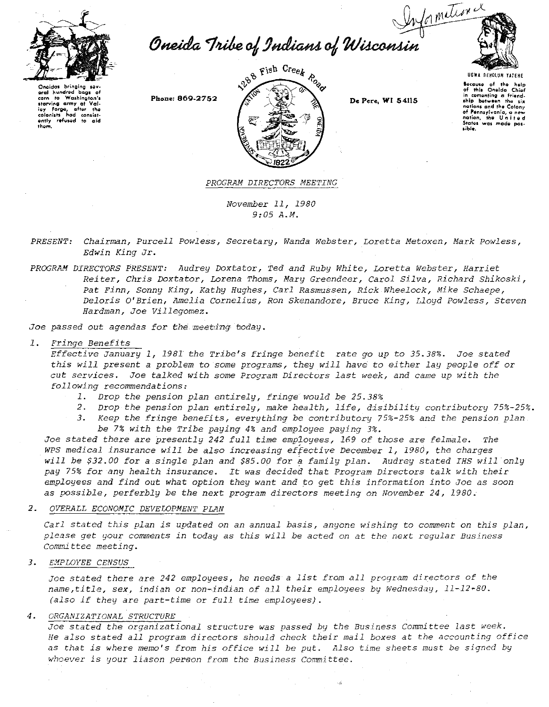

Oneida Tribe of Indians of Wisconsin



Onaidas brinaina unesdas Bringing sevien<br>eral hundred bags of<br>corn to Washington's<br>starving army at Vali-<br>ley Forge, after the<br>colonists had consist-<br>ending refused to aid<br>them them.

Phone: 869-2752



De Pere, WI 54115

Secause of the help<br>of this Oneida Chief in comenting a frie<br>ship botween the comenting a friend  $\overline{\mathbf{m}}$ nations and the Colony nations with the words<br>of Pennsylvania, a new<br>nation, the United<br>States was made possible

PROGRAM DIRECTORS MEETING

November 11, 1980  $9:05A.M.$ 

PRESENT: Chairman, Purcell Powless, Secretary, Wanda Webster, Loretta Metoxen, Mark Powless, Edwin King Jr.

PROGRAM DIRECTORS PRESENT: Audrey Doxtator, Ted and Ruby White, Loretta Webster, Harriet Reiter, Chris Doxtator, Lorena Thoms, Mary Greendeer, Carol Silva, Richard Shikoski, Pat Finn, Sonny King, Kathy Hughes, Carl Rasmussen, Rick Wheelock, Mike Schaepe, Deloris O'Brien, Amelia Cornelius, Ron Skenandore, Bruce King, Lloyd Powless, Steven Hardman, Joe Villegomez.

Joe passed out agendas for the meeting today.

## 1. Fringe Benefits

Effective January 1, 1981 the Tribe's fringe benefit rate go up to 35.38%. Joe stated this will present a problem to some programs, they will have to either lay people off or cut services. Joe talked with some Program Directors last week, and came up with the following recommendations:

- 1. Drop the pension plan entirely, fringe would be 25.38%
- 2. Drop the pension plan entirely, make health, life, disibility contributory 75%-25%.
- 3. Keep the fringe benefits, everything be contributory 75%-25% and the pension plan. be 7% with the Tribe paying 4% and employee paying 3%.

Joe stated there are presently 242 full time employees, 169 of those are felmale. The WPS medical insurance will be also increasing effective December 1, 1980, the charges will be \$32.00 for a single plan and \$85.00 for a family plan. Audrey stated IHS will only pay 75% for any health insurance. It was decided that Program Directors talk with their employees and find out what option they want and to get this information into Joe as soon as possible, perferbly be the next program directors meeting on November 24, 1980.

## 2. OVERALL ECONOMIC DEVELOPMENT PLAN

Carl stated this plan is updated on an annual basis, anyone wishing to comment on this plan, please get your comments in today as this will be acted on at the next regular Business Committee meeting.

## 3. *EMPLOYEE CENSUS*

Joe stated there are 242 employees, he needs a list from all program directors of the name, title, sex, indian or non-indian of all their employees by Wednesday, 11-12-80. (also if they are part-time or full time employees).

## 4. ORGANIZATIONAL STRUCTURE

Joe stated the organizational structure was passed by the Business Committee last week. He also stated all program directors should check their mail boxes at the accounting office as that is where memo's from his office will be put. Also time sheets must be signed by whoever is your liason person from the Business Committee.